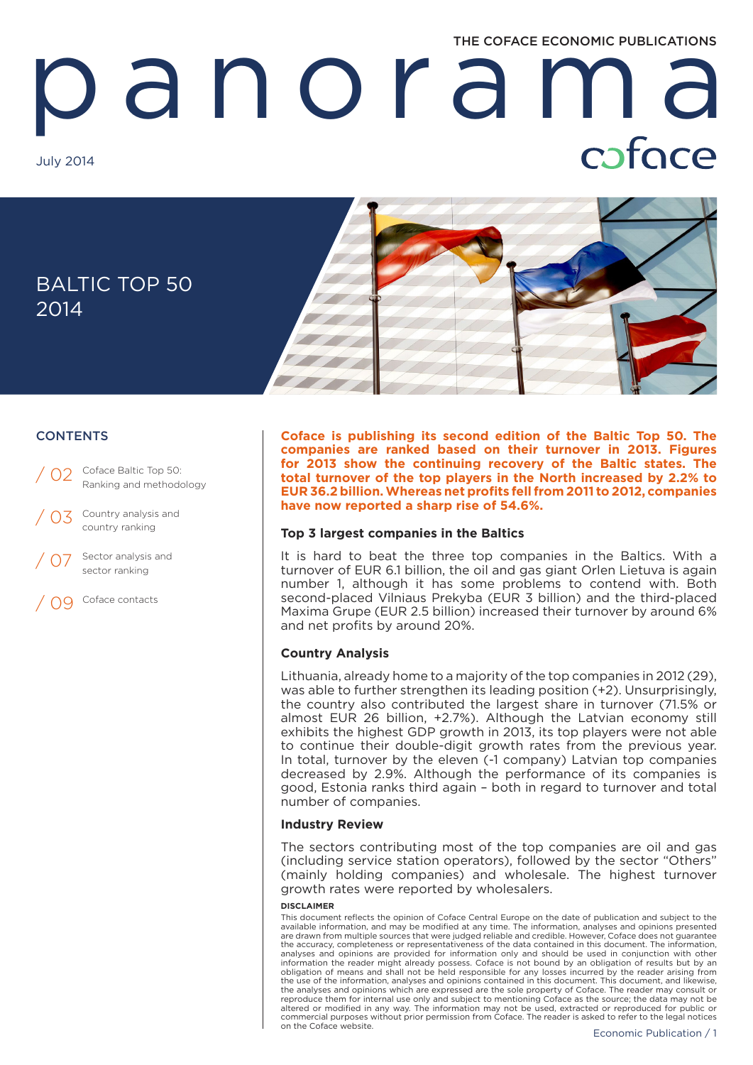# THE COFACE ECONOMIC PUBLICATIONS

# anorama July 2014



# **CONTENTS**

02 Coface Baltic Top 50: Ranking and methodology

Country analysis and country ranking / 03

Sector analysis and sector ranking

/ 09 Coface contacts

**Coface is publishing its second edition of the Baltic Top 50. The companies are ranked based on their turnover in 2013. Figures for 2013 show the continuing recovery of the Baltic states. The total turnover of the top players in the North increased by 2.2% to EUR 36.2 billion. Whereas net profits fell from 2011 to 2012, companies have now reported a sharp rise of 54.6%.**

# **Top 3 largest companies in the Baltics**

It is hard to beat the three top companies in the Baltics. With a turnover of EUR 6.1 billion, the oil and gas giant Orlen Lietuva is again number 1, although it has some problems to contend with. Both second-placed Vilniaus Prekyba (EUR 3 billion) and the third-placed Maxima Grupe (EUR 2.5 billion) increased their turnover by around 6% and net profits by around 20%.

# **Country Analysis**

Lithuania, already home to a majority of the top companies in 2012 (29), was able to further strengthen its leading position (+2). Unsurprisingly, the country also contributed the largest share in turnover (71.5% or almost EUR 26 billion, +2.7%). Although the Latvian economy still exhibits the highest GDP growth in 2013, its top players were not able to continue their double-digit growth rates from the previous year. In total, turnover by the eleven (-1 company) Latvian top companies decreased by 2.9%. Although the performance of its companies is good, Estonia ranks third again – both in regard to turnover and total number of companies.

# **Industry Review**

The sectors contributing most of the top companies are oil and gas (including service station operators), followed by the sector "Others" (mainly holding companies) and wholesale. The highest turnover growth rates were reported by wholesalers.

#### **DISCLAIMER**

This document reflects the opinion of Coface Central Europe on the date of publication and subject to the available information, and may be modified at any time. The information, analyses and opinions presented are drawn from multiple sources that were judged reliable and credible. However, Coface does not guarantee the accuracy, completeness or representativeness of the data contained in this document. The information, analyses and opinions are provided for information only and should be used in conjunction with other information the reader might already possess. Coface is not bound by an obligation of results but by an obligation of means and shall not be held responsible for any losses incurred by the reader arising from the use of the information, analyses and opinions contained in this document. This document, and likewise, the analyses and opinions which are expressed are the sole property of Coface. The reader may consult or reproduce them for internal use only and subject to mentioning Coface as the source; the data may not be altered or modified in any way. The information may not be used, extracted or reproduced for public or commercial purposes without prior permission from Coface. The reader is asked to refer to the legal notices on the Coface website.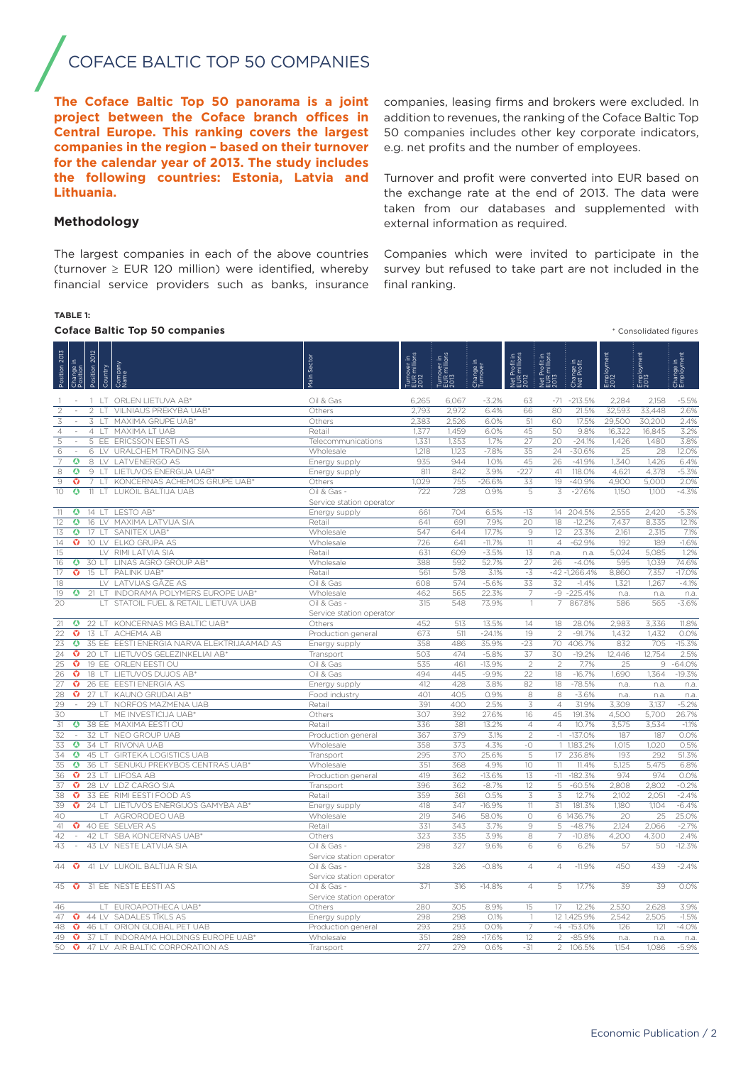# COFACE BALTIC TOP 50 COMPANIES

**The Coface Baltic Top 50 panorama is a joint project between the Coface branch offices in Central Europe. This ranking covers the largest companies in the region – based on their turnover for the calendar year of 2013. The study includes the following countries: Estonia, Latvia and Lithuania.**

The largest companies in each of the above countries (turnover  $\ge$  EUR 120 million) were identified, whereby financial service providers such as banks, insurance companies, leasing firms and brokers were excluded. In addition to revenues, the ranking of the Coface Baltic Top 50 companies includes other key corporate indicators, e.g. net profits and the number of employees.

Turnover and profit were converted into EUR based on the exchange rate at the end of 2013. The data were taken from our databases and supplemented with external information as required.

# Companies which were invited to participate in the survey but refused to take part are not included in the final ranking.

#### **TABLE 1:**

**Methodology**

## **Coface Baltic Top 50 companies** \* Consolidated figures

|                    |                         |                |           | Coldce Daitic Top 30 companies             |                                         |                                     |                                  |                       |                                       |                                       |                         |                    | Consolidated liqures |                         |
|--------------------|-------------------------|----------------|-----------|--------------------------------------------|-----------------------------------------|-------------------------------------|----------------------------------|-----------------------|---------------------------------------|---------------------------------------|-------------------------|--------------------|----------------------|-------------------------|
| Position 2013      | hange in<br>psition     | Position 2012  | Country   | Company<br>Vame                            | ain Sector                              | Turnover in<br>EUR millions<br>2012 | rover in<br>: millions<br>ទីមីនី | Change in<br>Turnover | Net Profit in<br>EUR millions<br>2012 | Net Profit in<br>EUR millions<br>2013 | Change in<br>Net Profit | Employment<br>2012 | Employment<br>2013   | Change in<br>Employment |
|                    |                         |                |           | 1 LT ORLEN LIETUVA AB*                     | Oil & Gas                               | 6,265                               | 6,067                            | $-3.2%$               | 63                                    | -71                                   | $-213.5%$               | 2,284              | 2,158                | $-5.5%$                 |
| $\overline{2}$     |                         | $\overline{2}$ | $\perp$ T | VILNIAUS PREKYBA UAB*                      | Others                                  | 2,793                               | 2,972                            | 6.4%                  | 66                                    | 80                                    | 21.5%                   | 32,593             | 33,448               | 2.6%                    |
| 3                  |                         | 3              | LT        | MAXIMA GRUPE UAB*                          | Others                                  | 2,383                               | 2,526                            | 6.0%                  | 51                                    | 60                                    | 17.5%                   | 29,500             | 30,200               | 2.4%                    |
| $\overline{4}$     |                         | 4              | $\perp$ T | MAXIMA LT UAB                              | Retail                                  | 1,377                               | 1.459                            | 6.0%                  | $\overline{45}$                       | 50                                    | 9.8%                    | 16,322             | 16,845               | 3.2%                    |
| $\overline{5}$     | $\sim$                  | 5              | EE        | <b>ERICSSON EESTI AS</b>                   | Telecommunications                      | 1.331                               | 1,353                            | 1.7%                  | 27                                    | 20                                    | $-24.1%$                | 1.426              | 1.480                | 3.8%                    |
| 6                  |                         | 6              |           | LV URALCHEM TRADING SIA                    | Wholesale                               | 1,218                               | 1,123                            | $-7.8%$               | 35                                    | $\overline{24}$                       | $-30.6%$                | 25                 | 28                   | 12.0%                   |
| $\overline{7}$     | ۵                       | 8              | LV        | <b>LATVENERGO AS</b>                       | Energy supply                           | 935                                 | 944                              | 1.0%                  | 45                                    | 26                                    | $-41.9%$                | 1,340              | 1,426                | 6.4%                    |
| $\overline{\bf 8}$ | $\overline{\mathbf{o}}$ | 9              | LT.       | LIETUVOS ENERGIJA UAB*                     | Energy supply                           | 811                                 | 842                              | 3.9%                  | $-227$                                | 41                                    | 118.0%                  | 4,621              | 4,378                | $-5.3%$                 |
| $\overline{9}$     | o                       |                | IT.       | KONCERNAS ACHEMOS GRUPE UAB*               | Others                                  | 1,029                               | 755                              | $-26.6%$              | 33                                    | 19                                    | $-40.9%$                | 4,900              | 5,000                | 2.0%                    |
| 10                 | $\overline{\mathbf{o}}$ | 11             | LT.       | LUKOIL BALTIJA UAB                         | Oil & Gas -<br>Service station operator | 722                                 | 728                              | 0.9%                  | 5                                     | 3                                     | $-27.6%$                | 1,150              | 1,100                | $-4.3%$                 |
| 11                 | ۵                       |                |           | 14 LT LESTO AB*                            | Energy supply                           | 661                                 | 704                              | 6.5%                  | $-13$                                 | 14                                    | 204.5%                  | 2,555              | 2,420                | $-5.3%$                 |
| 12                 | $\boldsymbol{\omega}$   | 16             | LV        | MAXIMA LATVIJA SIA                         | Retail                                  | 641                                 | 691                              | 7.9%                  | 20                                    | 18                                    | $-12.2%$                | 7,437              | 8,335                | 12.1%                   |
| 13                 | $\overline{\mathbf{o}}$ | 17             | LT.       | SANITEX UAB*                               | Wholesale                               | 547                                 | 644                              | 17.7%                 | $\mathcal{G}$                         | $\overline{12}$                       | 23.3%                   | 2,161              | 2,315                | 7.1%                    |
| 14                 | ø                       | 10             |           | LV ELKO GRUPA AS                           | Wholesale                               | 726                                 | 641                              | $-11.7%$              | $11\,$                                | $\overline{4}$                        | $-62.9%$                | 192                | 189                  | $-1.6%$                 |
| 15                 |                         |                |           | LV RIMI LATVIA SIA                         | Retail                                  | 631                                 | 609                              | $-3.5%$               | 13                                    | n.a.                                  | n.a.                    | 5,024              | 5,085                | 1.2%                    |
| 16                 | ۵                       | 30 LT          |           | LINAS AGRO GROUP AB*                       | Wholesale                               | 388                                 | 592                              | 52.7%                 | 27                                    | 26                                    | $-4.0%$                 | 595                | 1,039                | 74.6%                   |
| 17                 | Ø                       | 15 LT          |           | PALINK UAB'                                | Retail                                  | 561                                 | 578                              | 3.1%                  | $-3$                                  |                                       | $-42 - 1,266.4%$        | 8,860              | 7,357                | $-17.0%$                |
| 18                 |                         |                |           | LV LATVIJAS GĀZE AS                        | Oil & Gas                               | 608                                 | 574                              | $-5.6%$               | 33                                    | 32                                    | $-1.4%$                 | 1,321              | 1,267                | $-4.1%$                 |
| 19                 | ۵                       | 21LT           |           | INDORAMA POLYMERS EUROPE UAB*              | Wholesale                               | 462                                 | 565                              | 22.3%                 | $\overline{7}$                        |                                       | $-9 - 225.4%$           | n.a.               | n.a                  | n.a.                    |
| 20                 |                         |                |           | STATOIL FUEL & RETAIL LIETUVA UAB          | Oil & Gas -<br>Service station operator | 315                                 | 548                              | 73.9%                 |                                       | 7                                     | 867.8%                  | 586                | 565                  | $-3.6%$                 |
| 21                 | ۵                       | 22 LT          |           | KONCERNAS MG BALTIC UAB*                   | Others                                  | 452                                 | 513                              | 13.5%                 | 14                                    | 18                                    | 28.0%                   | 2,983              | 3,336                | 11.8%                   |
| $\overline{22}$    | $\overline{\mathbf{o}}$ | 13             | $+T$      | ACHEMA AB                                  | Production general                      | 673                                 | 511                              | $-24.1%$              | 19                                    | $\overline{2}$                        | $-91.7%$                | 1,432              | 1,432                | 0.0%                    |
| 23                 | $\bf o$                 |                |           | 35 EE EESTI ENERGIA NARVA ELEKTRIJAAMAD AS | Energy supply                           | 358                                 | 486                              | 35.9%                 | $-23$                                 | 70                                    | 406.7%                  | 832                | 705                  | $-15.3%$                |
| $\overline{24}$    | o                       | 20 IT          |           | LIETUVOS GELEZINKELIAI AB*                 | Transport                               | 503                                 | 474                              | $-5.8%$               | 37                                    | 30                                    | $-19.2%$                | 12,446             | 12,754               | 2.5%                    |
| 25                 | o                       | 19             | EE        | ORLEN EESTI OU                             | Oil & Gas                               | 535                                 | 461                              | $-13.9%$              | $\overline{2}$                        | $\overline{c}$                        | 7.7%                    | 25                 | 9                    | $-64.0%$                |
| 26                 | o                       | 18             | $\top$    | LIETUVOS DUJOS AB*                         | Oil & Gas                               | 494                                 | 445                              | $-9.9%$               | 22                                    | 18                                    | $-16.7%$                | 1,690              | 1,364                | $-19.3%$                |
| 27                 | o                       | 26 EE          |           | <b>EESTI ENERGIA AS</b>                    | Energy supply                           | 412                                 | 428                              | 3.8%                  | 82                                    | 18                                    | $-78.5%$                | n.a.               | n.a                  | n.a.                    |
| 28                 | o                       |                |           | 27 LT KAUNO GRUDAI AB'                     | Food industry                           | 401                                 | 405                              | 0.9%                  | 8                                     | 8                                     | $-3.6%$                 | n.a.               | n.a.                 | n.a.                    |
| 29                 |                         | 29 IT          |           | NORFOS MAZMENA UAB                         | Retail                                  | 391                                 | 400                              | 2.5%                  | $\mathfrak{Z}$                        | $\overline{4}$                        | 31.9%                   | 3,309              | 3,137                | $-5.2%$                 |
| 30                 |                         |                | LT        | ME INVESTICIJA UAB                         | Others                                  | 307                                 | 392                              | 27.6%                 | 16                                    | 45                                    | 191.3%                  | 4.500              | 5.700                | 26.7%                   |
| 31                 | ۵                       |                |           | 38 EE MAXIMA EESTI OÜ                      | Retail                                  | 336                                 | 381                              | 13.2%                 | $\overline{4}$                        | $\overline{4}$                        | 10.7%                   | 3,575              | 3.534                | $-1.1%$                 |
| $\overline{32}$    |                         | 32             |           | LT NEO GROUP UAB                           | Production general                      | 367                                 | 379                              | 3.1%                  | $\mathfrak{D}$                        | $-1$                                  | $-137.0%$               | 187                | 187                  | 0.0%                    |
| 33                 | ۵                       | 34 IT          |           | RIVONA UAB                                 | Wholesale                               | 358                                 | 373                              | 4.3%                  | $-\bigcirc$                           | 1                                     | 1,183.2%                | 1.015              | 1.020                | 0.5%                    |
| 34                 | ۵                       | 45             |           | <b>GIRTEKA LOGISTICS UAB</b>               | Transport                               | 295                                 | 370                              | 25.6%                 | 5                                     | 17                                    | 236.8%                  | 193                | 292                  | 51.3%                   |
| 35                 | $\overline{\mathbf{o}}$ | 36 LT          |           | SENUKU PREKYBOS CENTRAS UAB*               | Wholesale                               | 351                                 | 368                              | 4.9%                  | 10                                    | 11                                    | 11.4%                   | 5.125              | 5.475                | 6.8%                    |
| 36                 | o                       | 23 LT          |           | <b>LIFOSA AB</b>                           | Production general                      | 419                                 | 362                              | $-13.6%$              | 13                                    | $-11$                                 | $-182.3%$               | 974                | 974                  | 0.0%                    |
| 37                 | Ø                       |                |           | 28 LV LDZ CARGO SIA                        | Transport                               | 396                                 | 362                              | $-8.7%$               | 12                                    | 5                                     | $-60.5%$                | 2,808              | 2,802                | $-0.2%$                 |
| 38                 | o<br>Ø                  |                |           | 33 EE RIMI EESTI FOOD AS                   | Retail                                  | 359                                 | 361<br>347                       | 0.5%                  | 3                                     | $\overline{3}$                        | 12.7%                   | 2,102              | 2,051                | $-2.4%$                 |
| 39                 |                         | 24 IT          |           | LIETUVOS ENERGIJOS GAMYBA AB'              | Energy supply                           | 418                                 |                                  | $-16.9%$              | 11                                    | 31                                    | 181.3%                  | 1,180              | 1.104                | $-6.4%$                 |
| 40                 |                         |                | $\top$    | AGRORODEO UAB                              | Wholesale                               | 219                                 | 346                              | 58.0%                 | $\bigcirc$                            |                                       | 6 1436.7%               | 20                 | 25                   | 25.0%                   |
| 41                 | o                       |                |           | 40 EE SELVER AS                            | Retail                                  | 331<br>323                          | 343                              | 3.7%                  | 9                                     | 5<br>$\overline{7}$                   | $-48.7%$                | 2,124              | 2,066                | $-2.7%$                 |
| 42<br>43           |                         | 42 LT          |           | SBA KONCERNAS UAB*                         | Others                                  |                                     | 335                              | 3.9%                  | 8                                     |                                       | $-10.8%$                | 4,200              | 4,300                | 2.4%<br>$-12.3%$        |
|                    |                         |                |           | 43 LV NESTE LATVIJA SIA                    | Oil & Gas -<br>Service station operator | 298                                 | 327                              | 9.6%                  | 6                                     | 6                                     | 6.2%                    | 57                 | 50                   |                         |
| 44                 | $\bullet$               |                |           | 41 LV LUKOIL BALTIJA R SIA                 | Oil & Gas -<br>Service station operator | 328                                 | 326                              | $-0.8%$               | $\overline{4}$                        | $\overline{4}$                        | $-11.9%$                | 450                | 439                  | $-2.4%$                 |
|                    | 45 $\sigma$             |                |           | 31 EE NESTE EESTI AS                       | Oil & Gas -<br>Service station operator | 371                                 | 316                              | $-14.8%$              | $\overline{4}$                        | 5                                     | 17.7%                   | 39                 | 39                   | 0.0%                    |
| 46                 |                         |                | LT        | EUROAPOTHECA UAB*                          | Others                                  | 280                                 | 305                              | 8.9%                  | 15                                    | 17                                    | 12.2%                   | 2,530              | 2.628                | 3.9%                    |
| 47                 | o                       | 44 LV          |           | SADALES TĪKLS AS                           | Energy supply                           | 298                                 | 298                              | O.1%                  |                                       |                                       | 12 1,425.9%             | 2,542              | 2,505                | $-1.5%$                 |
| 48                 | o                       | 46 LT          |           | ORION GLOBAL PET UAB                       | Production general                      | 293                                 | 293                              | 0.0%                  | $\overline{7}$                        | $-4$                                  | $-153.0%$               | 126                | 121                  | $-4.0%$                 |
| 49                 | o                       |                |           | 37 LT INDORAMA HOLDINGS EUROPE UAB*        | Wholesale                               | 351                                 | 289                              | $-17.6%$              | 12                                    | 2                                     | $-85.9%$                | n.a.               | n.a                  | n.a.                    |
| 50                 | o                       |                |           | 47 LV AIR BALTIC CORPORATION AS            | Transport                               | 277                                 | 279                              | 0.6%                  | $-31$                                 | $\overline{2}$                        | 106.5%                  | 1.154              | 1.086                | $-5.9%$                 |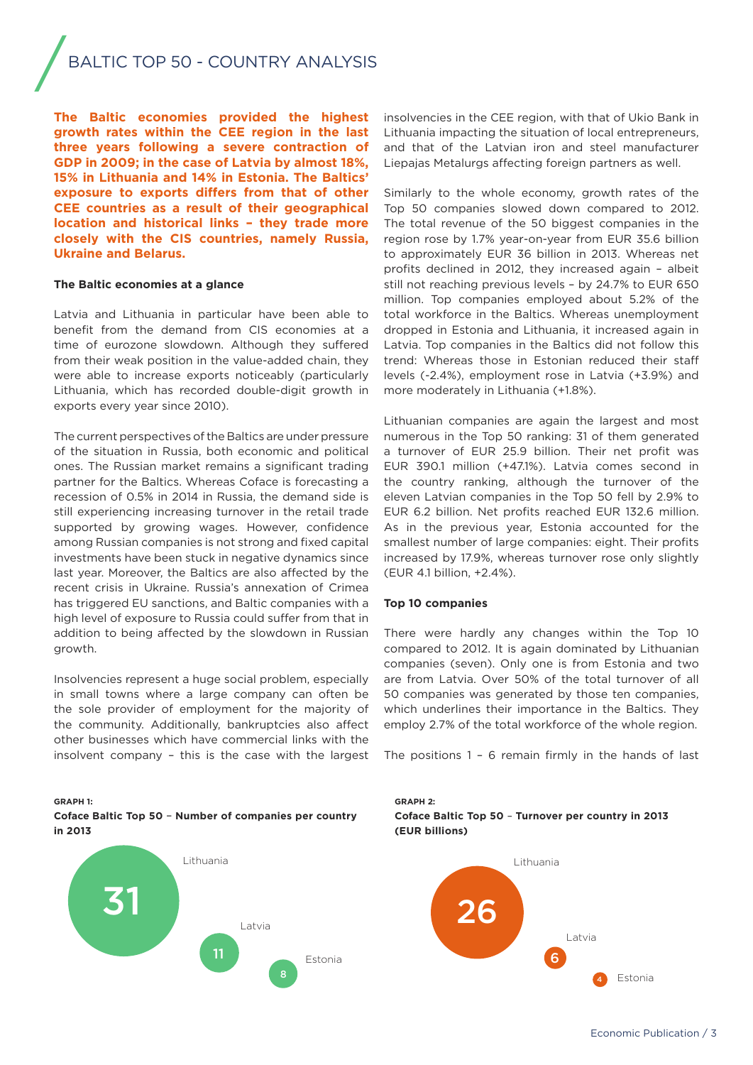# BALTIC TOP 50 - COUNTRY ANALYSIS

**The Baltic economies provided the highest growth rates within the CEE region in the last three years following a severe contraction of GDP in 2009; in the case of Latvia by almost 18%, 15% in Lithuania and 14% in Estonia. The Baltics' exposure to exports differs from that of other CEE countries as a result of their geographical location and historical links – they trade more closely with the CIS countries, namely Russia, Ukraine and Belarus.** 

#### **The Baltic economies at a glance**

Latvia and Lithuania in particular have been able to benefit from the demand from CIS economies at a time of eurozone slowdown. Although they suffered from their weak position in the value-added chain, they were able to increase exports noticeably (particularly Lithuania, which has recorded double-digit growth in exports every year since 2010).

The current perspectives of the Baltics are under pressure of the situation in Russia, both economic and political ones. The Russian market remains a significant trading partner for the Baltics. Whereas Coface is forecasting a recession of 0.5% in 2014 in Russia, the demand side is still experiencing increasing turnover in the retail trade supported by growing wages. However, confidence among Russian companies is not strong and fixed capital investments have been stuck in negative dynamics since last year. Moreover, the Baltics are also affected by the recent crisis in Ukraine. Russia's annexation of Crimea has triggered EU sanctions, and Baltic companies with a high level of exposure to Russia could suffer from that in addition to being affected by the slowdown in Russian growth.

Insolvencies represent a huge social problem, especially in small towns where a large company can often be the sole provider of employment for the majority of the community. Additionally, bankruptcies also affect other businesses which have commercial links with the insolvent company – this is the case with the largest insolvencies in the CEE region, with that of Ukio Bank in Lithuania impacting the situation of local entrepreneurs, and that of the Latvian iron and steel manufacturer Liepajas Metalurgs affecting foreign partners as well.

Similarly to the whole economy, growth rates of the Top 50 companies slowed down compared to 2012. The total revenue of the 50 biggest companies in the region rose by 1.7% year-on-year from EUR 35.6 billion to approximately EUR 36 billion in 2013. Whereas net profits declined in 2012, they increased again – albeit still not reaching previous levels – by 24.7% to EUR 650 million. Top companies employed about 5.2% of the total workforce in the Baltics. Whereas unemployment dropped in Estonia and Lithuania, it increased again in Latvia. Top companies in the Baltics did not follow this trend: Whereas those in Estonian reduced their staff levels (-2.4%), employment rose in Latvia (+3.9%) and more moderately in Lithuania (+1.8%).

Lithuanian companies are again the largest and most numerous in the Top 50 ranking: 31 of them generated a turnover of EUR 25.9 billion. Their net profit was EUR 390.1 million (+47.1%). Latvia comes second in the country ranking, although the turnover of the eleven Latvian companies in the Top 50 fell by 2.9% to EUR 6.2 billion. Net profits reached EUR 132.6 million. As in the previous year, Estonia accounted for the smallest number of large companies: eight. Their profits increased by 17.9%, whereas turnover rose only slightly (EUR 4.1 billion, +2.4%).

#### **Top 10 companies**

There were hardly any changes within the Top 10 compared to 2012. It is again dominated by Lithuanian companies (seven). Only one is from Estonia and two are from Latvia. Over 50% of the total turnover of all 50 companies was generated by those ten companies, which underlines their importance in the Baltics. They employ 2.7% of the total workforce of the whole region.

The positions 1 – 6 remain firmly in the hands of last

**Coface Baltic Top 50** – **Number of companies per country in 2013**

**GRAPH 1:**





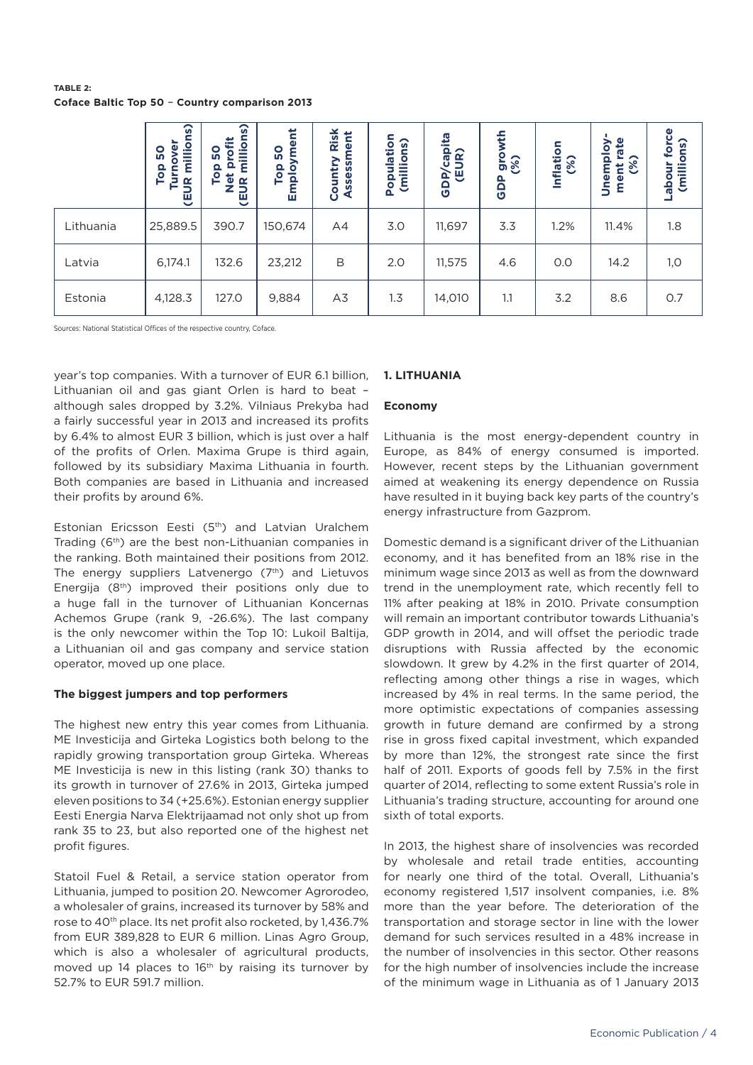**TABLE 2: Coface Baltic Top 50** – **Country comparison 2013**

|           | ္ဖ<br>ē<br>millio<br><b>S</b><br>Top<br>Turn<br><b>(EUR</b> | ္ဖ<br>llion<br>c<br><b>S</b><br>Έ<br>$\Omega$<br>Top<br>$\frac{\overline{0}}{2}$<br>$\alpha$<br><b>GD</b> | Employme<br><b>S</b><br>Top | Risk<br>nent<br>><br>SS<br><b>SSex</b><br>Ŝ<br>ō<br>⋖<br>$\mathbf 0$ | Population<br>(millions) | <b>)P/capita</b><br>(EUR)<br>GDP | growth<br>(%)<br><b>GDP</b> | Inflation<br>(%) | rate<br>Unemploy<br>ment ra<br>(%) | force<br>(millions)<br>Jino<br><b>abo</b> |
|-----------|-------------------------------------------------------------|-----------------------------------------------------------------------------------------------------------|-----------------------------|----------------------------------------------------------------------|--------------------------|----------------------------------|-----------------------------|------------------|------------------------------------|-------------------------------------------|
| Lithuania | 25,889.5                                                    | 390.7                                                                                                     | 150,674                     | A4                                                                   | 3.0                      | 11,697                           | 3.3                         | 1.2%             | 11.4%                              | 1.8                                       |
| Latvia    | 6,174.1                                                     | 132.6                                                                                                     | 23,212                      | B                                                                    | 2.0                      | 11,575                           | 4.6                         | O.O              | 14.2                               | 1,0                                       |
| Estonia   | 4,128.3                                                     | 127.0                                                                                                     | 9,884                       | A3                                                                   | 1.3                      | 14,010                           | 1.1                         | 3.2              | 8.6                                | 0.7                                       |

Sources: National Statistical Offices of the respective country, Coface.

year's top companies. With a turnover of EUR 6.1 billion, Lithuanian oil and gas giant Orlen is hard to beat – although sales dropped by 3.2%. Vilniaus Prekyba had a fairly successful year in 2013 and increased its profits by 6.4% to almost EUR 3 billion, which is just over a half of the profits of Orlen. Maxima Grupe is third again, followed by its subsidiary Maxima Lithuania in fourth. Both companies are based in Lithuania and increased their profits by around 6%.

Estonian Ericsson Eesti (5th) and Latvian Uralchem Trading (6<sup>th</sup>) are the best non-Lithuanian companies in the ranking. Both maintained their positions from 2012. The energy suppliers Latvenergo  $(7<sup>th</sup>)$  and Lietuvos Energija (8th) improved their positions only due to a huge fall in the turnover of Lithuanian Koncernas Achemos Grupe (rank 9, -26.6%). The last company is the only newcomer within the Top 10: Lukoil Baltija, a Lithuanian oil and gas company and service station operator, moved up one place.

#### **The biggest jumpers and top performers**

The highest new entry this year comes from Lithuania. ME Investicija and Girteka Logistics both belong to the rapidly growing transportation group Girteka. Whereas ME Investicija is new in this listing (rank 30) thanks to its growth in turnover of 27.6% in 2013, Girteka jumped eleven positions to 34 (+25.6%). Estonian energy supplier Eesti Energia Narva Elektrijaamad not only shot up from rank 35 to 23, but also reported one of the highest net profit figures.

Statoil Fuel & Retail, a service station operator from Lithuania, jumped to position 20. Newcomer Agrorodeo, a wholesaler of grains, increased its turnover by 58% and rose to 40<sup>th</sup> place. Its net profit also rocketed, by 1,436.7% from EUR 389,828 to EUR 6 million. Linas Agro Group, which is also a wholesaler of agricultural products, moved up 14 places to 16<sup>th</sup> by raising its turnover by 52.7% to EUR 591.7 million.

# **1. LITHUANIA**

## **Economy**

Lithuania is the most energy-dependent country in Europe, as 84% of energy consumed is imported. However, recent steps by the Lithuanian government aimed at weakening its energy dependence on Russia have resulted in it buying back key parts of the country's energy infrastructure from Gazprom.

Domestic demand is a significant driver of the Lithuanian economy, and it has benefited from an 18% rise in the minimum wage since 2013 as well as from the downward trend in the unemployment rate, which recently fell to 11% after peaking at 18% in 2010. Private consumption will remain an important contributor towards Lithuania's GDP growth in 2014, and will offset the periodic trade disruptions with Russia affected by the economic slowdown. It grew by 4.2% in the first quarter of 2014, reflecting among other things a rise in wages, which increased by 4% in real terms. In the same period, the more optimistic expectations of companies assessing growth in future demand are confirmed by a strong rise in gross fixed capital investment, which expanded by more than 12%, the strongest rate since the first half of 2011. Exports of goods fell by 7.5% in the first quarter of 2014, reflecting to some extent Russia's role in Lithuania's trading structure, accounting for around one sixth of total exports.

In 2013, the highest share of insolvencies was recorded by wholesale and retail trade entities, accounting for nearly one third of the total. Overall, Lithuania's economy registered 1,517 insolvent companies, i.e. 8% more than the year before. The deterioration of the transportation and storage sector in line with the lower demand for such services resulted in a 48% increase in the number of insolvencies in this sector. Other reasons for the high number of insolvencies include the increase of the minimum wage in Lithuania as of 1 January 2013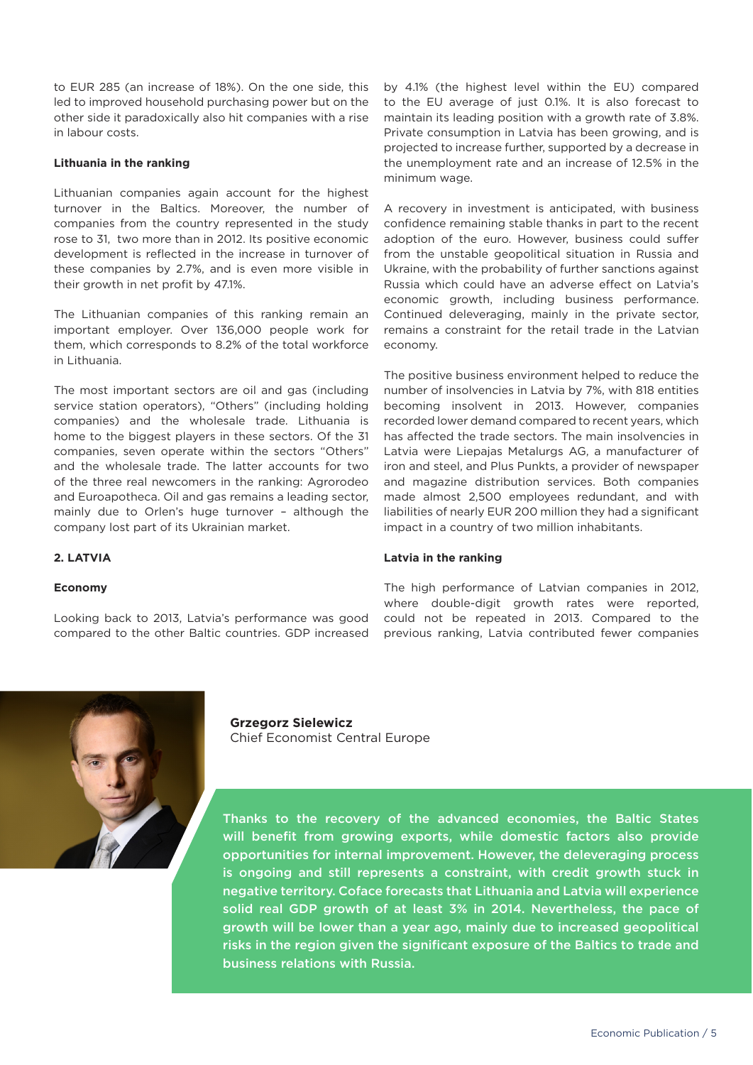to EUR 285 (an increase of 18%). On the one side, this led to improved household purchasing power but on the other side it paradoxically also hit companies with a rise in labour costs.

## **Lithuania in the ranking**

Lithuanian companies again account for the highest turnover in the Baltics. Moreover, the number of companies from the country represented in the study rose to 31, two more than in 2012. Its positive economic development is reflected in the increase in turnover of these companies by 2.7%, and is even more visible in their growth in net profit by 47.1%.

The Lithuanian companies of this ranking remain an important employer. Over 136,000 people work for them, which corresponds to 8.2% of the total workforce in Lithuania.

The most important sectors are oil and gas (including service station operators), "Others" (including holding companies) and the wholesale trade. Lithuania is home to the biggest players in these sectors. Of the 31 companies, seven operate within the sectors "Others" and the wholesale trade. The latter accounts for two of the three real newcomers in the ranking: Agrorodeo and Euroapotheca. Oil and gas remains a leading sector, mainly due to Orlen's huge turnover – although the company lost part of its Ukrainian market.

by 4.1% (the highest level within the EU) compared to the EU average of just 0.1%. It is also forecast to maintain its leading position with a growth rate of 3.8%. Private consumption in Latvia has been growing, and is projected to increase further, supported by a decrease in the unemployment rate and an increase of 12.5% in the minimum wage.

A recovery in investment is anticipated, with business confidence remaining stable thanks in part to the recent adoption of the euro. However, business could suffer from the unstable geopolitical situation in Russia and Ukraine, with the probability of further sanctions against Russia which could have an adverse effect on Latvia's economic growth, including business performance. Continued deleveraging, mainly in the private sector, remains a constraint for the retail trade in the Latvian economy.

The positive business environment helped to reduce the number of insolvencies in Latvia by 7%, with 818 entities becoming insolvent in 2013. However, companies recorded lower demand compared to recent years, which has affected the trade sectors. The main insolvencies in Latvia were Liepajas Metalurgs AG, a manufacturer of iron and steel, and Plus Punkts, a provider of newspaper and magazine distribution services. Both companies made almost 2,500 employees redundant, and with liabilities of nearly EUR 200 million they had a significant impact in a country of two million inhabitants.

#### **Latvia in the ranking**

# **2. LATVIA**

# **Economy**

Looking back to 2013, Latvia's performance was good compared to the other Baltic countries. GDP increased The high performance of Latvian companies in 2012, where double-digit growth rates were reported, could not be repeated in 2013. Compared to the previous ranking, Latvia contributed fewer companies



**Grzegorz Sielewicz** Chief Economist Central Europe

Thanks to the recovery of the advanced economies, the Baltic States will benefit from growing exports, while domestic factors also provide opportunities for internal improvement. However, the deleveraging process is ongoing and still represents a constraint, with credit growth stuck in negative territory. Coface forecasts that Lithuania and Latvia will experience solid real GDP growth of at least 3% in 2014. Nevertheless, the pace of growth will be lower than a year ago, mainly due to increased geopolitical risks in the region given the significant exposure of the Baltics to trade and business relations with Russia.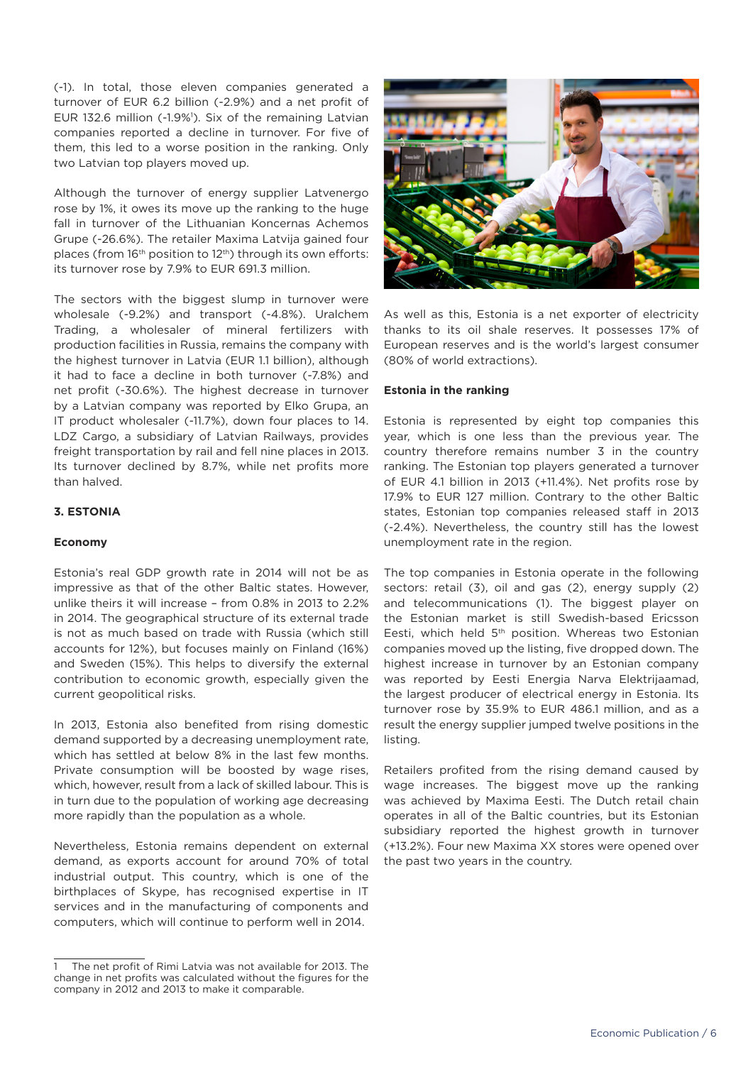(-1). In total, those eleven companies generated a turnover of EUR 6.2 billion (-2.9%) and a net profit of EUR 132.6 million (-1.9%<sup>1</sup>). Six of the remaining Latvian companies reported a decline in turnover. For five of them, this led to a worse position in the ranking. Only two Latvian top players moved up.

Although the turnover of energy supplier Latvenergo rose by 1%, it owes its move up the ranking to the huge fall in turnover of the Lithuanian Koncernas Achemos Grupe (-26.6%). The retailer Maxima Latvija gained four places (from 16<sup>th</sup> position to 12<sup>th</sup>) through its own efforts: its turnover rose by 7.9% to EUR 691.3 million.

The sectors with the biggest slump in turnover were wholesale (-9.2%) and transport (-4.8%). Uralchem Trading, a wholesaler of mineral fertilizers with production facilities in Russia, remains the company with the highest turnover in Latvia (EUR 1.1 billion), although it had to face a decline in both turnover (-7.8%) and net profit (-30.6%). The highest decrease in turnover by a Latvian company was reported by Elko Grupa, an IT product wholesaler (-11.7%), down four places to 14. LDZ Cargo, a subsidiary of Latvian Railways, provides freight transportation by rail and fell nine places in 2013. Its turnover declined by 8.7%, while net profits more than halved.

# **3. ESTONIA**

# **Economy**

Estonia's real GDP growth rate in 2014 will not be as impressive as that of the other Baltic states. However, unlike theirs it will increase – from 0.8% in 2013 to 2.2% in 2014. The geographical structure of its external trade is not as much based on trade with Russia (which still accounts for 12%), but focuses mainly on Finland (16%) and Sweden (15%). This helps to diversify the external contribution to economic growth, especially given the current geopolitical risks.

In 2013, Estonia also benefited from rising domestic demand supported by a decreasing unemployment rate, which has settled at below 8% in the last few months. Private consumption will be boosted by wage rises, which, however, result from a lack of skilled labour. This is in turn due to the population of working age decreasing more rapidly than the population as a whole.

Nevertheless, Estonia remains dependent on external demand, as exports account for around 70% of total industrial output. This country, which is one of the birthplaces of Skype, has recognised expertise in IT services and in the manufacturing of components and computers, which will continue to perform well in 2014.



As well as this, Estonia is a net exporter of electricity thanks to its oil shale reserves. It possesses 17% of European reserves and is the world's largest consumer (80% of world extractions).

## **Estonia in the ranking**

Estonia is represented by eight top companies this year, which is one less than the previous year. The country therefore remains number 3 in the country ranking. The Estonian top players generated a turnover of EUR 4.1 billion in 2013 (+11.4%). Net profits rose by 17.9% to EUR 127 million. Contrary to the other Baltic states, Estonian top companies released staff in 2013 (-2.4%). Nevertheless, the country still has the lowest unemployment rate in the region.

The top companies in Estonia operate in the following sectors: retail (3), oil and gas (2), energy supply (2) and telecommunications (1). The biggest player on the Estonian market is still Swedish-based Ericsson Eesti, which held 5<sup>th</sup> position. Whereas two Estonian companies moved up the listing, five dropped down. The highest increase in turnover by an Estonian company was reported by Eesti Energia Narva Elektrijaamad, the largest producer of electrical energy in Estonia. Its turnover rose by 35.9% to EUR 486.1 million, and as a result the energy supplier jumped twelve positions in the listing.

Retailers profited from the rising demand caused by wage increases. The biggest move up the ranking was achieved by Maxima Eesti. The Dutch retail chain operates in all of the Baltic countries, but its Estonian subsidiary reported the highest growth in turnover (+13.2%). Four new Maxima XX stores were opened over the past two years in the country.

<sup>1</sup> The net profit of Rimi Latvia was not available for 2013. The change in net profits was calculated without the figures for the company in 2012 and 2013 to make it comparable.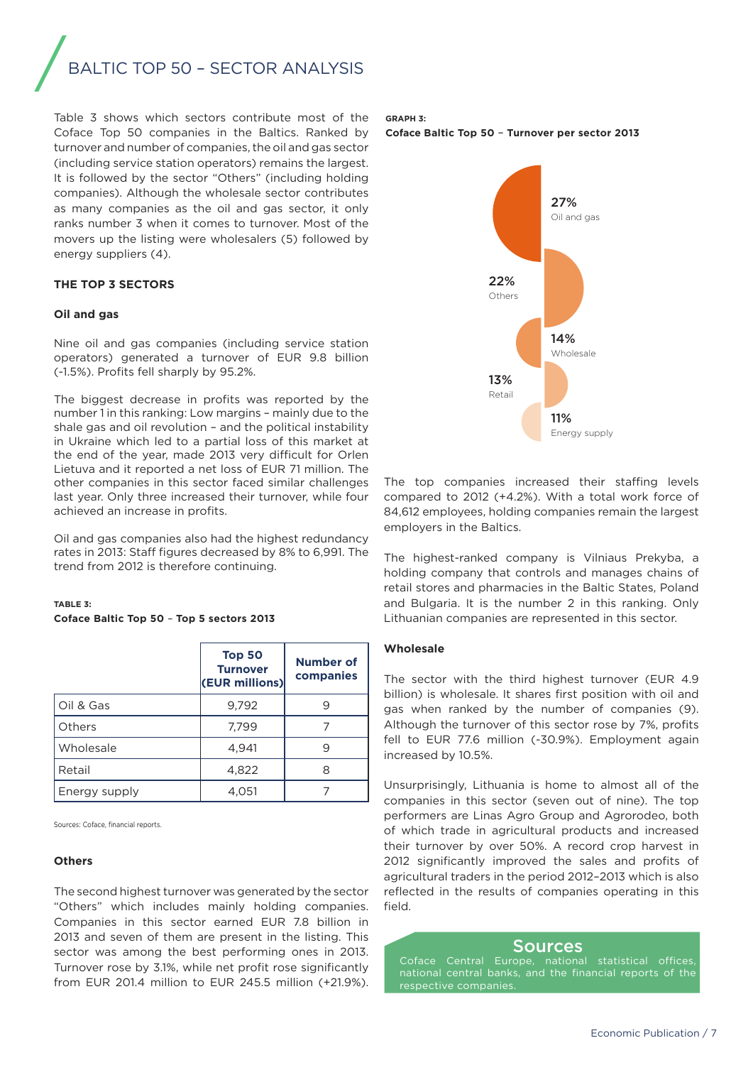# BALTIC TOP 50 - SECTOR ANALYSIS

Table 3 shows which sectors contribute most of the Coface Top 50 companies in the Baltics. Ranked by turnover and number of companies, the oil and gas sector (including service station operators) remains the largest. It is followed by the sector "Others" (including holding companies). Although the wholesale sector contributes as many companies as the oil and gas sector, it only ranks number 3 when it comes to turnover. Most of the movers up the listing were wholesalers (5) followed by energy suppliers (4).

# **THE TOP 3 SECTORS**

#### **Oil and gas**

Nine oil and gas companies (including service station operators) generated a turnover of EUR 9.8 billion (-1.5%). Profits fell sharply by 95.2%.

The biggest decrease in profits was reported by the number 1 in this ranking: Low margins – mainly due to the shale gas and oil revolution – and the political instability in Ukraine which led to a partial loss of this market at the end of the year, made 2013 very difficult for Orlen Lietuva and it reported a net loss of EUR 71 million. The other companies in this sector faced similar challenges last year. Only three increased their turnover, while four achieved an increase in profits.

Oil and gas companies also had the highest redundancy rates in 2013: Staff figures decreased by 8% to 6,991. The trend from 2012 is therefore continuing.

# **TABLE 3:**

## **Coface Baltic Top 50** – **Top 5 sectors 2013**

|               | Top 50<br><b>Turnover</b><br>(EUR millions) | <b>Number of</b><br>companies |
|---------------|---------------------------------------------|-------------------------------|
| Oil & Gas     | 9,792                                       | 9                             |
| Others        | 7,799                                       |                               |
| Wholesale     | 4,941                                       | 9                             |
| Retail        | 4,822                                       | 8                             |
| Energy supply | 4,051                                       |                               |

Sources: Coface, financial reports.

#### **Others**

The second highest turnover was generated by the sector "Others" which includes mainly holding companies. Companies in this sector earned EUR 7.8 billion in 2013 and seven of them are present in the listing. This sector was among the best performing ones in 2013. Turnover rose by 3.1%, while net profit rose significantly from EUR 201.4 million to EUR 245.5 million (+21.9%).

#### **GRAPH 3:**

**Coface Baltic Top 50** – **Turnover per sector 2013**



The top companies increased their staffing levels compared to 2012 (+4.2%). With a total work force of 84,612 employees, holding companies remain the largest employers in the Baltics.

The highest-ranked company is Vilniaus Prekyba, a holding company that controls and manages chains of retail stores and pharmacies in the Baltic States, Poland and Bulgaria. It is the number 2 in this ranking. Only Lithuanian companies are represented in this sector.

#### **Wholesale**

The sector with the third highest turnover (EUR 4.9 billion) is wholesale. It shares first position with oil and gas when ranked by the number of companies (9). Although the turnover of this sector rose by 7%, profits fell to EUR 77.6 million (-30.9%). Employment again increased by 10.5%.

Unsurprisingly, Lithuania is home to almost all of the companies in this sector (seven out of nine). The top performers are Linas Agro Group and Agrorodeo, both of which trade in agricultural products and increased their turnover by over 50%. A record crop harvest in 2012 significantly improved the sales and profits of agricultural traders in the period 2012–2013 which is also reflected in the results of companies operating in this field.

## Sources

national central banks, and the financial reports of the respective companie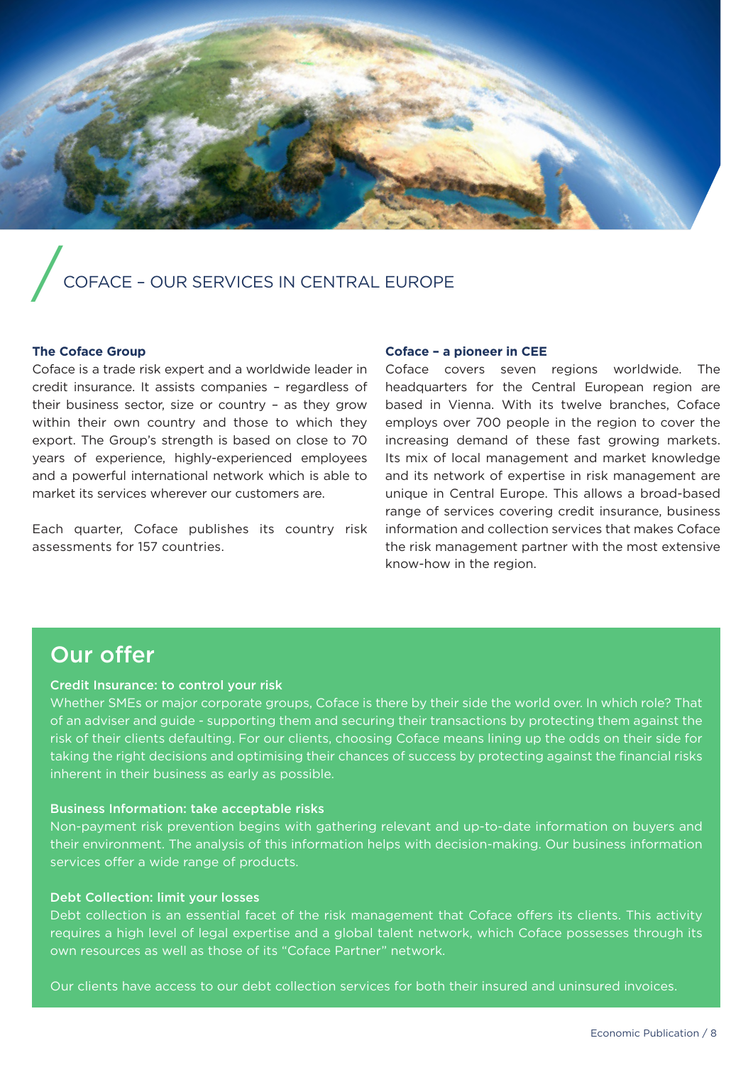

# /COFACE – OUR SERVICES IN CENTRAL EUROPE

# **The Coface Group**

Coface is a trade risk expert and a worldwide leader in credit insurance. It assists companies – regardless of their business sector, size or country – as they grow within their own country and those to which they export. The Group's strength is based on close to 70 years of experience, highly-experienced employees and a powerful international network which is able to market its services wherever our customers are.

Each quarter, Coface publishes its country risk assessments for 157 countries.

#### **Coface – a pioneer in CEE**

Coface covers seven regions worldwide. The headquarters for the Central European region are based in Vienna. With its twelve branches, Coface employs over 700 people in the region to cover the increasing demand of these fast growing markets. Its mix of local management and market knowledge and its network of expertise in risk management are unique in Central Europe. This allows a broad-based range of services covering credit insurance, business information and collection services that makes Coface the risk management partner with the most extensive know-how in the region.

# Our offer

# Credit Insurance: to control your risk

Whether SMEs or major corporate groups, Coface is there by their side the world over. In which role? That of an adviser and guide - supporting them and securing their transactions by protecting them against the risk of their clients defaulting. For our clients, choosing Coface means lining up the odds on their side for taking the right decisions and optimising their chances of success by protecting against the financial risks inherent in their business as early as possible.

# Business Information: take acceptable risks

Non-payment risk prevention begins with gathering relevant and up-to-date information on buyers and their environment. The analysis of this information helps with decision-making. Our business information services offer a wide range of products.

# Debt Collection: limit your losses

Debt collection is an essential facet of the risk management that Coface offers its clients. This activity requires a high level of legal expertise and a global talent network, which Coface possesses through its own resources as well as those of its "Coface Partner" network.

Our clients have access to our debt collection services for both their insured and uninsured invoices.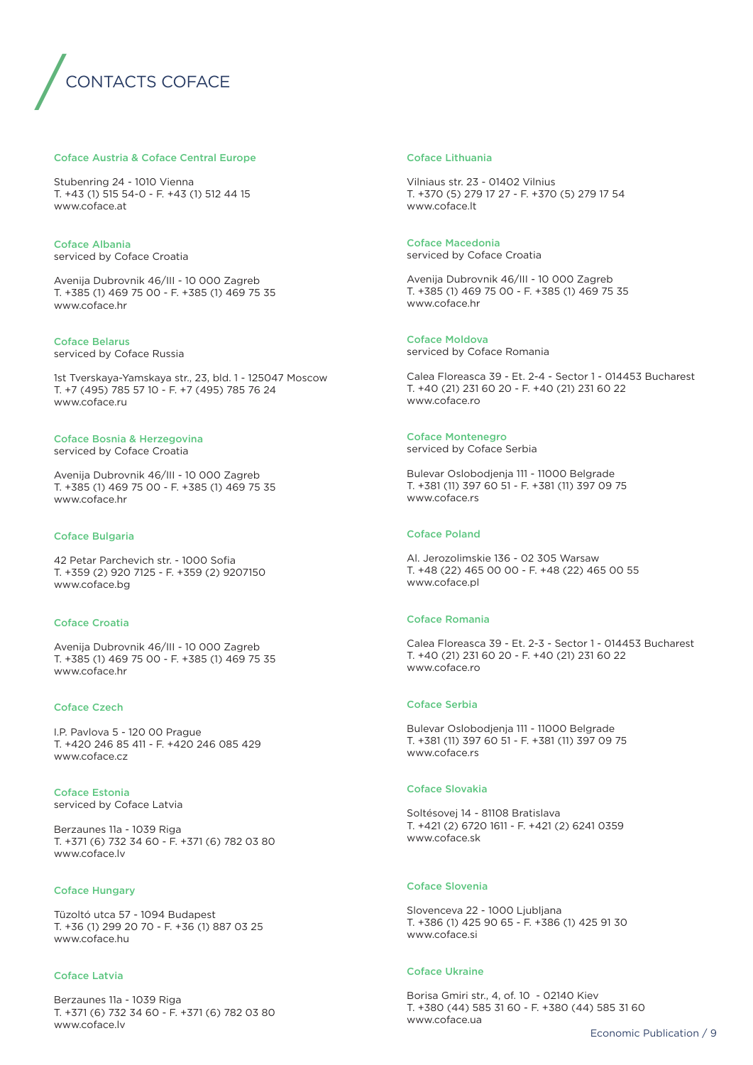

#### Coface Austria & Coface Central Europe

Stubenring 24 - 1010 Vienna T. +43 (1) 515 54-0 - F. +43 (1) 512 44 15 www.coface.at

Coface Albania serviced by Coface Croatia

Avenija Dubrovnik 46/III - 10 000 Zagreb T. +385 (1) 469 75 00 - F. +385 (1) 469 75 35 www.coface.hr

#### Coface Belarus

serviced by Coface Russia

1st Tverskaya-Yamskaya str., 23, bld. 1 - 125047 Moscow T. +7 (495) 785 57 10 - F. +7 (495) 785 76 24 www.coface.ru

#### Coface Bosnia & Herzegovina

serviced by Coface Croatia

Avenija Dubrovnik 46/III - 10 000 Zagreb T. +385 (1) 469 75 00 - F. +385 (1) 469 75 35 www.coface.hr

#### Coface Bulgaria

42 Petar Parchevich str. - 1000 Sofia T. +359 (2) 920 7125 - F. +359 (2) 9207150 www.coface.bg

#### Coface Croatia

Avenija Dubrovnik 46/III - 10 000 Zagreb T. +385 (1) 469 75 00 - F. +385 (1) 469 75 35 www.coface.hr

#### Coface Czech

I.P. Pavlova 5 - 120 00 Prague T. +420 246 85 411 - F. +420 246 085 429 www.coface.cz

Coface Estonia serviced by Coface Latvia

Berzaunes 11a - 1039 Riga T. +371 (6) 732 34 60 - F. +371 (6) 782 03 80 www.coface.lv

### Coface Hungary

Tüzoltó utca 57 - 1094 Budapest T. +36 (1) 299 20 70 - F. +36 (1) 887 03 25 www.coface.hu

#### Coface Latvia

Berzaunes 11a - 1039 Riga T. +371 (6) 732 34 60 - F. +371 (6) 782 03 80 www.coface.lv

#### Coface Lithuania

Vilniaus str. 23 - 01402 Vilnius T. +370 (5) 279 17 27 - F. +370 (5) 279 17 54 www.coface.lt

Coface Macedonia serviced by Coface Croatia

Avenija Dubrovnik 46/III - 10 000 Zagreb T. +385 (1) 469 75 00 - F. +385 (1) 469 75 35 www.coface.hr

#### Coface Moldova

serviced by Coface Romania

Calea Floreasca 39 - Et. 2-4 - Sector 1 - 014453 Bucharest T. +40 (21) 231 60 20 - F. +40 (21) 231 60 22 www.coface.ro

#### Coface Montenegro

serviced by Coface Serbia

Bulevar Oslobodjenja 111 - 11000 Belgrade T. +381 (11) 397 60 51 - F. +381 (11) 397 09 75 www.coface.rs

# Coface Poland

Al. Jerozolimskie 136 - 02 305 Warsaw T. +48 (22) 465 00 00 - F. +48 (22) 465 00 55 www.coface.pl

#### Coface Romania

Calea Floreasca 39 - Et. 2-3 - Sector 1 - 014453 Bucharest T. +40 (21) 231 60 20 - F. +40 (21) 231 60 22 www.coface.ro

#### Coface Serbia

Bulevar Oslobodjenja 111 - 11000 Belgrade T. +381 (11) 397 60 51 - F. +381 (11) 397 09 75 www.coface.rs

#### Coface Slovakia

Soltésovej 14 - 81108 Bratislava T. +421 (2) 6720 1611 - F. +421 (2) 6241 0359 www.coface.sk

#### Coface Slovenia

Slovenceva 22 - 1000 Ljubljana T. +386 (1) 425 90 65 - F. +386 (1) 425 91 30 www.coface.si

#### Coface Ukraine

Borisa Gmiri str., 4, of. 10 - 02140 Kiev T. +380 (44) 585 31 60 - F. +380 (44) 585 31 60 www.coface.ua